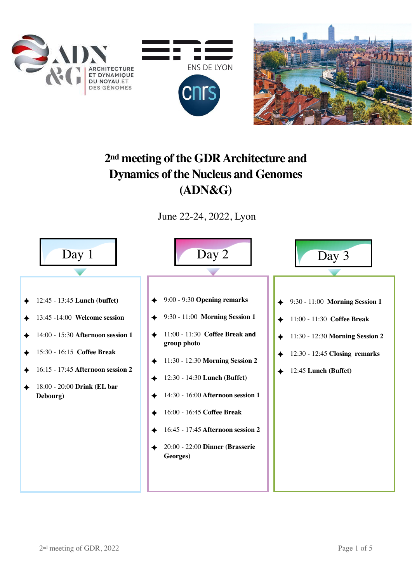



## **2nd meeting of the GDR Architecture and Dynamics of the Nucleus and Genomes (ADN&G)**

June 22-24, 2022, Lyon

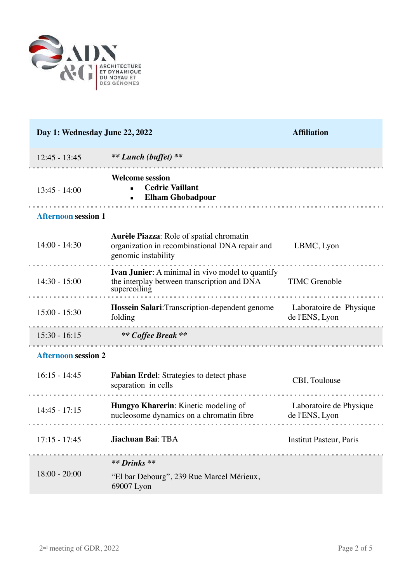

| Day 1: Wednesday June 22, 2022 |                                                                                                                        | <b>Affiliation</b>                        |
|--------------------------------|------------------------------------------------------------------------------------------------------------------------|-------------------------------------------|
| $12:45 - 13:45$                | ** Lunch (buffet) **                                                                                                   |                                           |
| $13:45 - 14:00$                | <b>Welcome session</b><br><b>Cedric Vaillant</b><br><b>Elham Ghobadpour</b>                                            |                                           |
| <b>Afternoon session 1</b>     |                                                                                                                        |                                           |
| $14:00 - 14:30$                | Aurèle Piazza: Role of spatial chromatin<br>organization in recombinational DNA repair and<br>genomic instability      | LBMC, Lyon                                |
| $14:30 - 15:00$                | <b>Ivan Junier:</b> A minimal in vivo model to quantify<br>the interplay between transcription and DNA<br>supercoiling | <b>TIMC</b> Grenoble                      |
| $15:00 - 15:30$                | <b>Hossein Salari:</b> Transcription-dependent genome Laboratoire de Physique<br>folding                               | de l'ENS, Lyon                            |
| $15:30 - 16:15$                | ** Coffee Break **                                                                                                     |                                           |
| <b>Afternoon session 2</b>     |                                                                                                                        |                                           |
| $16:15 - 14:45$                | <b>Fabian Erdel:</b> Strategies to detect phase<br>separation in cells                                                 | CBI, Toulouse                             |
| $14:45 - 17:15$                | Hungyo Kharerin: Kinetic modeling of<br>nucleosome dynamics on a chromatin fibre                                       | Laboratoire de Physique<br>de l'ENS, Lyon |
| $17:15 - 17:45$                | Jiachuan Bai: TBA                                                                                                      | <b>Institut Pasteur, Paris</b>            |
| $18:00 - 20:00$                | ** Drinks **<br>"El bar Debourg", 239 Rue Marcel Mérieux,<br>69007 Lyon                                                |                                           |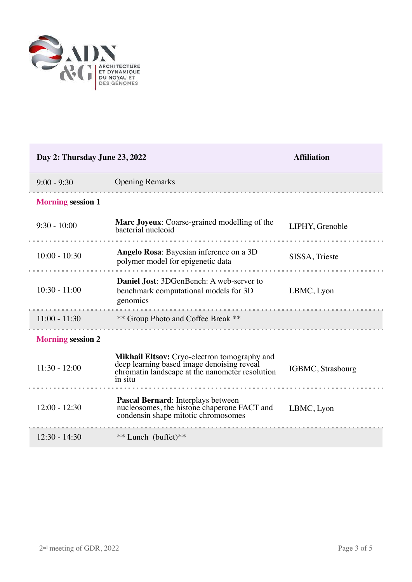

| Day 2: Thursday June 23, 2022 |                                                                                                                                                          | <b>Affiliation</b> |  |
|-------------------------------|----------------------------------------------------------------------------------------------------------------------------------------------------------|--------------------|--|
| $9:00 - 9:30$                 | <b>Opening Remarks</b>                                                                                                                                   |                    |  |
| <b>Morning session 1</b>      |                                                                                                                                                          |                    |  |
| $9:30 - 10:00$                | <b>Marc Joyeux:</b> Coarse-grained modelling of the<br>bacterial nucleoid                                                                                | LIPHY, Grenoble    |  |
| $10:00 - 10:30$               | Angelo Rosa: Bayesian inference on a 3D<br>polymer model for epigenetic data                                                                             | SISSA, Trieste     |  |
| $10:30 - 11:00$               | Daniel Jost: 3DGenBench: A web-server to<br>benchmark computational models for 3D<br>genomics                                                            | LBMC, Lyon         |  |
| $11:00 - 11:30$               | ** Group Photo and Coffee Break **                                                                                                                       |                    |  |
| <b>Morning session 2</b>      |                                                                                                                                                          |                    |  |
| $11:30 - 12:00$               | Mikhail Eltsov: Cryo-electron tomography and<br>deep learning based image denoising reveal<br>chromatin landscape at the nanometer resolution<br>in situ | IGBMC, Strasbourg  |  |
| $12:00 - 12:30$               | Pascal Bernard: Interplays between<br>nucleosomes, the histone chaperone FACT and<br>condensin shape mitotic chromosomes                                 | LBMC, Lyon         |  |
| $12:30 - 14:30$               | ** Lunch (buffet)**                                                                                                                                      |                    |  |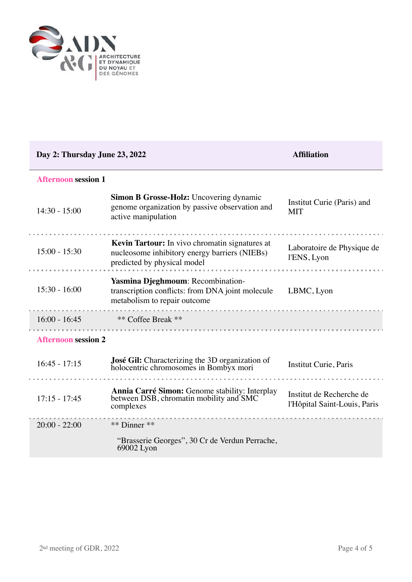

| Day 2: Thursday June 23, 2022 |                                                                                                                                | <b>Affiliation</b>                                       |  |  |
|-------------------------------|--------------------------------------------------------------------------------------------------------------------------------|----------------------------------------------------------|--|--|
| <b>Afternoon session 1</b>    |                                                                                                                                |                                                          |  |  |
| $14:30 - 15:00$               | Simon B Grosse-Holz: Uncovering dynamic<br>genome organization by passive observation and<br>active manipulation               | Institut Curie (Paris) and<br><b>MIT</b>                 |  |  |
| $15:00 - 15:30$               | Kevin Tartour: In vivo chromatin signatures at<br>nucleosome inhibitory energy barriers (NIEBs)<br>predicted by physical model | Laboratoire de Physique de<br>l'ENS, Lyon                |  |  |
| $15:30 - 16:00$               | Yasmina Djeghmoum: Recombination-<br>transcription conflicts: from DNA joint molecule<br>metabolism to repair outcome          | LBMC, Lyon                                               |  |  |
| $16:00 - 16:45$               | ** Coffee Break **<br>.                                                                                                        |                                                          |  |  |
| <b>Afternoon session 2</b>    |                                                                                                                                |                                                          |  |  |
| $16:45 - 17:15$               | José Gil: Characterizing the 3D organization of<br>holocentric chromosomes in Bombyx mori                                      | Institut Curie, Paris                                    |  |  |
| $17:15 - 17:45$               | Annia Carré Simon: Genome stability: Interplay<br>between DSB, chromatin mobility and SMC<br>complexes                         | Institut de Recherche de<br>l'Hôpital Saint-Louis, Paris |  |  |
| $20:00 - 22:00$               | ** Dinner **                                                                                                                   |                                                          |  |  |
|                               | "Brasserie Georges", 30 Cr de Verdun Perrache,<br>69002 Lyon                                                                   |                                                          |  |  |